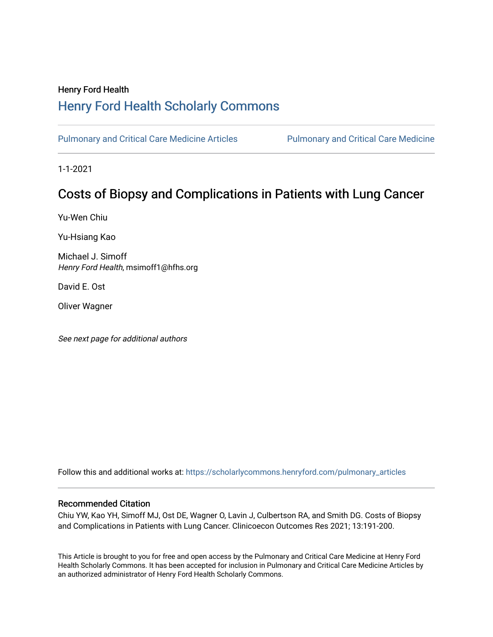## Henry Ford Health [Henry Ford Health Scholarly Commons](https://scholarlycommons.henryford.com/)

[Pulmonary and Critical Care Medicine Articles](https://scholarlycommons.henryford.com/pulmonary_articles) Pulmonary and Critical Care Medicine

1-1-2021

# Costs of Biopsy and Complications in Patients with Lung Cancer

Yu-Wen Chiu

Yu-Hsiang Kao

Michael J. Simoff Henry Ford Health, msimoff1@hfhs.org

David E. Ost

Oliver Wagner

See next page for additional authors

Follow this and additional works at: [https://scholarlycommons.henryford.com/pulmonary\\_articles](https://scholarlycommons.henryford.com/pulmonary_articles?utm_source=scholarlycommons.henryford.com%2Fpulmonary_articles%2F124&utm_medium=PDF&utm_campaign=PDFCoverPages)

#### Recommended Citation

Chiu YW, Kao YH, Simoff MJ, Ost DE, Wagner O, Lavin J, Culbertson RA, and Smith DG. Costs of Biopsy and Complications in Patients with Lung Cancer. Clinicoecon Outcomes Res 2021; 13:191-200.

This Article is brought to you for free and open access by the Pulmonary and Critical Care Medicine at Henry Ford Health Scholarly Commons. It has been accepted for inclusion in Pulmonary and Critical Care Medicine Articles by an authorized administrator of Henry Ford Health Scholarly Commons.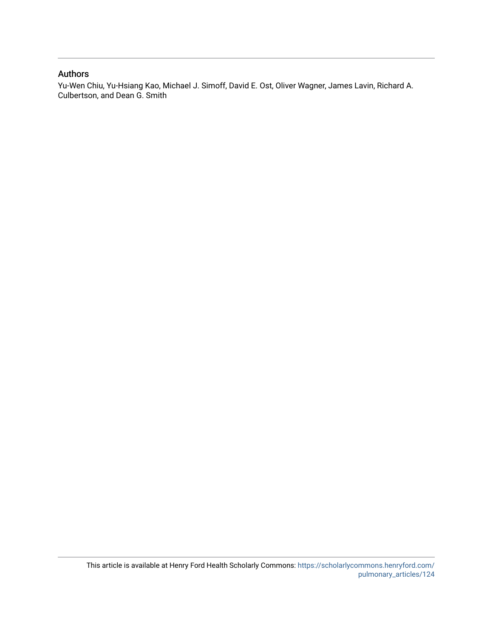#### Authors

Yu-Wen Chiu, Yu-Hsiang Kao, Michael J. Simoff, David E. Ost, Oliver Wagner, James Lavin, Richard A. Culbertson, and Dean G. Smith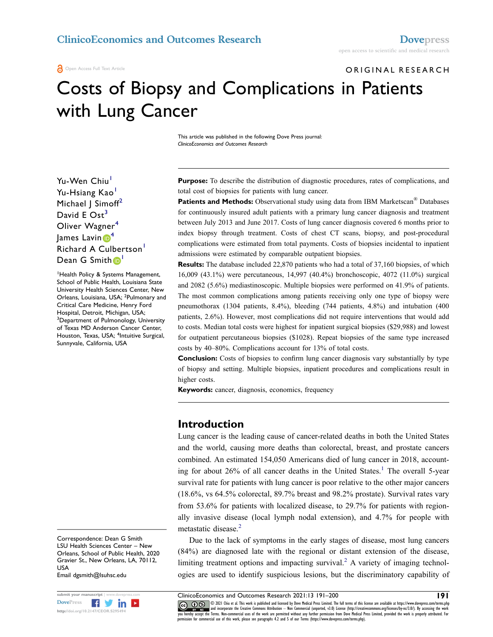ORIGINAL RESEARCH

# Costs of Biopsy and Complications in Patients with Lung Cancer

This article was published in the following Dove Press journal: *ClinicoEconomics and Outcomes Research*

Yu-Wen Chiu<sup>[1](#page-2-0)</sup> Yu-Hsiang Kao<sup>[1](#page-2-0)</sup> Michael | Simoff<sup>2</sup> David E  $Ost<sup>3</sup>$  $Ost<sup>3</sup>$  $Ost<sup>3</sup>$ Oliver Wagner<sup>4</sup> James Lavin  $\mathbf{D}^4$  $\mathbf{D}^4$ Richard A Culbertson<sup>1</sup> Dean G Smith<sup>[1](#page-2-0)</sup>

<span id="page-2-3"></span><span id="page-2-2"></span><span id="page-2-1"></span><span id="page-2-0"></span>1 Health Policy & Systems Management, School of Public Health, Louisiana State University Health Sciences Center, New Orleans, Louisiana, USA; <sup>2</sup>Pulmonary and Critical Care Medicine, Henry Ford Hospital, Detroit, Michigan, USA; 3 <sup>3</sup>Department of Pulmonology, University of Texas MD Anderson Cancer Center, Houston, Texas, USA; <sup>4</sup>Intuitive Surgical, Sunnyvale, California, USA

Correspondence: Dean G Smith LSU Health Sciences Center – New Orleans, School of Public Health, 2020 Gravier St., New Orleans, LA, 70112, USA Email [dgsmith@lsuhsc.edu](mailto:dgsmith@lsuhsc.edu)

**http://doi.org/10.2147/CEOR.S295494** 

Purpose: To describe the distribution of diagnostic procedures, rates of complications, and total cost of biopsies for patients with lung cancer.

**Patients and Methods:** Observational study using data from IBM Marketscan<sup>®</sup> Databases for continuously insured adult patients with a primary lung cancer diagnosis and treatment between July 2013 and June 2017. Costs of lung cancer diagnosis covered 6 months prior to index biopsy through treatment. Costs of chest CT scans, biopsy, and post-procedural complications were estimated from total payments. Costs of biopsies incidental to inpatient admissions were estimated by comparable outpatient biopsies.

**Results:** The database included 22,870 patients who had a total of 37,160 biopsies, of which 16,009 (43.1%) were percutaneous, 14,997 (40.4%) bronchoscopic, 4072 (11.0%) surgical and 2082 (5.6%) mediastinoscopic. Multiple biopsies were performed on 41.9% of patients. The most common complications among patients receiving only one type of biopsy were pneumothorax (1304 patients, 8.4%), bleeding (744 patients, 4.8%) and intubation (400 patients, 2.6%). However, most complications did not require interventions that would add to costs. Median total costs were highest for inpatient surgical biopsies (\$29,988) and lowest for outpatient percutaneous biopsies (\$1028). Repeat biopsies of the same type increased costs by 40–80%. Complications account for 13% of total costs.

**Conclusion:** Costs of biopsies to confirm lung cancer diagnosis vary substantially by type of biopsy and setting. Multiple biopsies, inpatient procedures and complications result in higher costs.

**Keywords:** cancer, diagnosis, economics, frequency

#### **Introduction**

<span id="page-2-4"></span>Lung cancer is the leading cause of cancer-related deaths in both the United States and the world, causing more deaths than colorectal, breast, and prostate cancers combined. An estimated 154,050 Americans died of lung cancer in 2018, accounting for about  $26\%$  of all cancer deaths in the United States.<sup>[1](#page-10-0)</sup> The overall 5-year survival rate for patients with lung cancer is poor relative to the other major cancers (18.6%, vs 64.5% colorectal, 89.7% breast and 98.2% prostate). Survival rates vary from 53.6% for patients with localized disease, to 29.7% for patients with regionally invasive disease (local lymph nodal extension), and 4.7% for people with metastatic disease.<sup>[2](#page-10-1)</sup>

Due to the lack of symptoms in the early stages of disease, most lung cancers (84%) are diagnosed late with the regional or distant extension of the disease, limiting treatment options and impacting survival.<sup>[2](#page-10-1)</sup> A variety of imaging technologies are used to identify suspicious lesions, but the discriminatory capability of

**submit your manuscript** | www.dovepress.com ClinicoEconomics and Outcomes Research 2021:13 191–200 **191 CO**  $\bigcirc$   $\bigcirc$  2021 Chiu et al. This work is published and licensed by Dove Medical Press Limited. The full terms of this license are available at https://www.dovepress.com/terms.php www.giverand incorporate the Creative Commons Attribution — Non Commercial (unported, v3.0) License (http://creativecommons.org/licenses/by-nc/3.0/). By accessing the work<br>You hereby accept the Terms. Non-commercial uses o permission for commercial use of this work, please see paragraphs 4.2 and 5 of our Terms (https://www.dovepress.com/terms.php).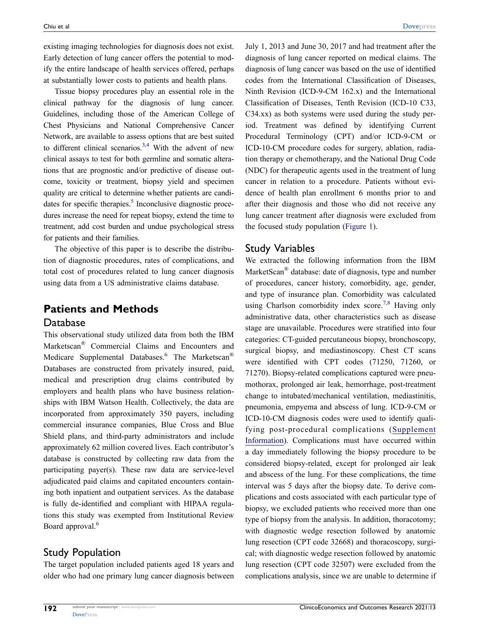existing imaging technologies for diagnosis does not exist. Early detection of lung cancer offers the potential to modify the entire landscape of health services offered, perhaps at substantially lower costs to patients and health plans.

<span id="page-3-0"></span>Tissue biopsy procedures play an essential role in the clinical pathway for the diagnosis of lung cancer. Guidelines, including those of the American College of Chest Physicians and National Comprehensive Cancer Network, are available to assess options that are best suited to different clinical scenarios.<sup>3,[4](#page-10-3)</sup> With the advent of new clinical assays to test for both germline and somatic alterations that are prognostic and/or predictive of disease outcome, toxicity or treatment, biopsy yield and specimen quality are critical to determine whether patients are candidates for specific therapies. $<sup>5</sup>$  Inconclusive diagnostic proce-</sup> dures increase the need for repeat biopsy, extend the time to treatment, add cost burden and undue psychological stress for patients and their families.

<span id="page-3-1"></span>The objective of this paper is to describe the distribution of diagnostic procedures, rates of complications, and total cost of procedures related to lung cancer diagnosis using data from a US administrative claims database.

## **Patients and Methods** Database

This observational study utilized data from both the IBM Marketscan® Commercial Claims and Encounters and Medicare Supplemental Databases.<sup>6</sup> The Marketscan<sup>®</sup> Databases are constructed from privately insured, paid, medical and prescription drug claims contributed by employers and health plans who have business relationships with IBM Watson Health. Collectively, the data are incorporated from approximately 350 payers, including commercial insurance companies, Blue Cross and Blue Shield plans, and third-party administrators and include approximately 62 million covered lives. Each contributor's database is constructed by collecting raw data from the participating payer(s). These raw data are service-level adjudicated paid claims and capitated encounters containing both inpatient and outpatient services. As the database is fully de-identified and compliant with HIPAA regulations this study was exempted from Institutional Review Board approval.<sup>6</sup>

## <span id="page-3-2"></span>Study Population

The target population included patients aged 18 years and older who had one primary lung cancer diagnosis between July 1, 2013 and June 30, 2017 and had treatment after the diagnosis of lung cancer reported on medical claims. The diagnosis of lung cancer was based on the use of identified codes from the International Classification of Diseases, Ninth Revision (ICD-9-CM 162.x) and the International Classification of Diseases, Tenth Revision (ICD-10 C33, C34.xx) as both systems were used during the study period. Treatment was defined by identifying Current Procedural Terminology (CPT) and/or ICD-9-CM or ICD-10-CM procedure codes for surgery, ablation, radiation therapy or chemotherapy, and the National Drug Code (NDC) for therapeutic agents used in the treatment of lung cancer in relation to a procedure. Patients without evidence of health plan enrollment 6 months prior to and after their diagnosis and those who did not receive any lung cancer treatment after diagnosis were excluded from the focused study population ([Figure 1](#page-4-0)).

### Study Variables

<span id="page-3-3"></span>We extracted the following information from the IBM MarketScan<sup>®</sup> database: date of diagnosis, type and number of procedures, cancer history, comorbidity, age, gender, and type of insurance plan. Comorbidity was calculated using Charlson comorbidity index score.<sup>[7](#page-10-6),8</sup> Having only administrative data, other characteristics such as disease stage are unavailable. Procedures were stratified into four categories: CT-guided percutaneous biopsy, bronchoscopy, surgical biopsy, and mediastinoscopy. Chest CT scans were identified with CPT codes (71250, 71260, or 71270). Biopsy-related complications captured were pneumothorax, prolonged air leak, hemorrhage, post-treatment change to intubated/mechanical ventilation, mediastinitis, pneumonia, empyema and abscess of lung. ICD-9-CM or ICD-10-CM diagnosis codes were used to identify qualifying post-procedural complications ([Supplement](https://www.dovepress.com/get_supplementary_file.php?f=295494.docx) [Information](https://www.dovepress.com/get_supplementary_file.php?f=295494.docx)). Complications must have occurred within a day immediately following the biopsy procedure to be considered biopsy-related, except for prolonged air leak and abscess of the lung. For these complications, the time interval was 5 days after the biopsy date. To derive complications and costs associated with each particular type of biopsy, we excluded patients who received more than one type of biopsy from the analysis. In addition, thoracotomy; with diagnostic wedge resection followed by anatomic lung resection (CPT code 32668) and thoracoscopy, surgical; with diagnostic wedge resection followed by anatomic lung resection (CPT code 32507) were excluded from the complications analysis, since we are unable to determine if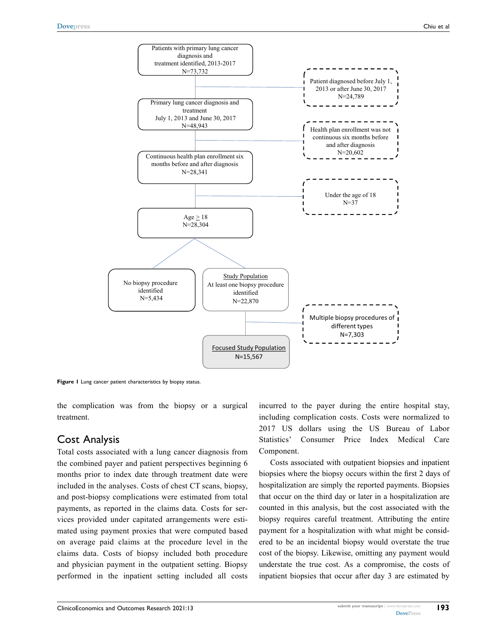<span id="page-4-0"></span>

**Figure 1** Lung cancer patient characteristics by biopsy status.

the complication was from the biopsy or a surgical treatment.

#### Cost Analysis

Total costs associated with a lung cancer diagnosis from the combined payer and patient perspectives beginning 6 months prior to index date through treatment date were included in the analyses. Costs of chest CT scans, biopsy, and post-biopsy complications were estimated from total payments, as reported in the claims data. Costs for services provided under capitated arrangements were estimated using payment proxies that were computed based on average paid claims at the procedure level in the claims data. Costs of biopsy included both procedure and physician payment in the outpatient setting. Biopsy performed in the inpatient setting included all costs incurred to the payer during the entire hospital stay, including complication costs. Costs were normalized to 2017 US dollars using the US Bureau of Labor Statistics' Consumer Price Index Medical Care Component.

Costs associated with outpatient biopsies and inpatient biopsies where the biopsy occurs within the first 2 days of hospitalization are simply the reported payments. Biopsies that occur on the third day or later in a hospitalization are counted in this analysis, but the cost associated with the biopsy requires careful treatment. Attributing the entire payment for a hospitalization with what might be considered to be an incidental biopsy would overstate the true cost of the biopsy. Likewise, omitting any payment would understate the true cost. As a compromise, the costs of inpatient biopsies that occur after day 3 are estimated by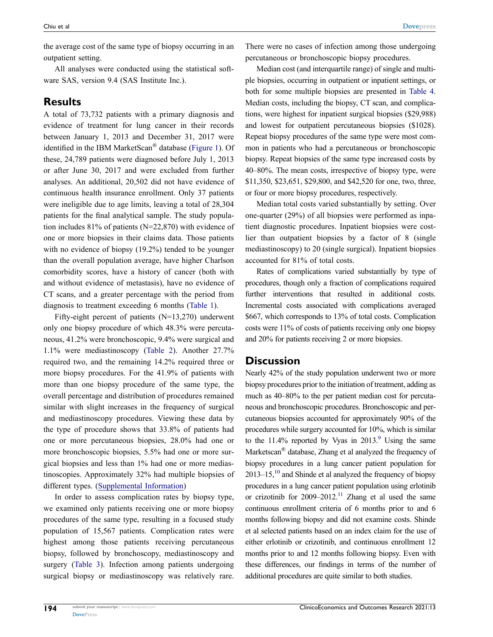the average cost of the same type of biopsy occurring in an outpatient setting.

All analyses were conducted using the statistical software SAS, version 9.4 (SAS Institute Inc.).

## **Results**

A total of 73,732 patients with a primary diagnosis and evidence of treatment for lung cancer in their records between January 1, 2013 and December 31, 2017 were identified in the IBM MarketScan® database [\(Figure 1\)](#page-4-0). Of these, 24,789 patients were diagnosed before July 1, 2013 or after June 30, 2017 and were excluded from further analyses. An additional, 20,502 did not have evidence of continuous health insurance enrollment. Only 37 patients were ineligible due to age limits, leaving a total of 28,304 patients for the final analytical sample. The study population includes 81% of patients (N=22,870) with evidence of one or more biopsies in their claims data. Those patients with no evidence of biopsy (19.2%) tended to be younger than the overall population average, have higher Charlson comorbidity scores, have a history of cancer (both with and without evidence of metastasis), have no evidence of CT scans, and a greater percentage with the period from diagnosis to treatment exceeding 6 months [\(Table 1\)](#page-6-0).

Fifty-eight percent of patients (N=13,270) underwent only one biopsy procedure of which 48.3% were percutaneous, 41.2% were bronchoscopic, 9.4% were surgical and 1.1% were mediastinoscopy ([Table 2\)](#page-7-0). Another 27.7% required two, and the remaining 14.2% required three or more biopsy procedures. For the 41.9% of patients with more than one biopsy procedure of the same type, the overall percentage and distribution of procedures remained similar with slight increases in the frequency of surgical and mediastinoscopy procedures. Viewing these data by the type of procedure shows that 33.8% of patients had one or more percutaneous biopsies, 28.0% had one or more bronchoscopic biopsies, 5.5% had one or more surgical biopsies and less than 1% had one or more mediastinoscopies. Approximately 32% had multiple biopsies of different types. ([Supplemental Information\)](https://www.dovepress.com/get_supplementary_file.php?f=295494.docx)

In order to assess complication rates by biopsy type, we examined only patients receiving one or more biopsy procedures of the same type, resulting in a focused study population of 15,567 patients. Complication rates were highest among those patients receiving percutaneous biopsy, followed by bronchoscopy, mediastinoscopy and surgery [\(Table 3\)](#page-8-0). Infection among patients undergoing surgical biopsy or mediastinoscopy was relatively rare.

There were no cases of infection among those undergoing percutaneous or bronchoscopic biopsy procedures.

Median cost (and interquartile range) of single and multiple biopsies, occurring in outpatient or inpatient settings, or both for some multiple biopsies are presented in [Table 4.](#page-9-0) Median costs, including the biopsy, CT scan, and complications, were highest for inpatient surgical biopsies (\$29,988) and lowest for outpatient percutaneous biopsies (\$1028). Repeat biopsy procedures of the same type were most common in patients who had a percutaneous or bronchoscopic biopsy. Repeat biopsies of the same type increased costs by 40–80%. The mean costs, irrespective of biopsy type, were \$11,350, \$23,651, \$29,800, and \$42,520 for one, two, three, or four or more biopsy procedures, respectively.

Median total costs varied substantially by setting. Over one-quarter (29%) of all biopsies were performed as inpatient diagnostic procedures. Inpatient biopsies were costlier than outpatient biopsies by a factor of 8 (single mediastinoscopy) to 20 (single surgical). Inpatient biopsies accounted for 81% of total costs.

Rates of complications varied substantially by type of procedures, though only a fraction of complications required further interventions that resulted in additional costs. Incremental costs associated with complications averaged \$667, which corresponds to 13% of total costs. Complication costs were 11% of costs of patients receiving only one biopsy and 20% for patients receiving 2 or more biopsies.

#### **Discussion**

<span id="page-5-2"></span><span id="page-5-1"></span><span id="page-5-0"></span>Nearly 42% of the study population underwent two or more biopsy procedures prior to the initiation of treatment, adding as much as 40–80% to the per patient median cost for percutaneous and bronchoscopic procedures. Bronchoscopic and percutaneous biopsies accounted for approximately 90% of the procedures while surgery accounted for 10%, which is similar to the  $11.4\%$  reported by Vyas in  $2013.9$  $2013.9$ <sup>9</sup> Using the same Marketscan® database, Zhang et al analyzed the frequency of biopsy procedures in a lung cancer patient population for  $2013-15$ ,<sup>10</sup> and Shinde et al analyzed the frequency of biopsy procedures in a lung cancer patient population using erlotinib or crizotinib for  $2009-2012$ .<sup>11</sup> Zhang et al used the same continuous enrollment criteria of 6 months prior to and 6 months following biopsy and did not examine costs. Shinde et al selected patients based on an index claim for the use of either erlotinib or crizotinib, and continuous enrollment 12 months prior to and 12 months following biopsy. Even with these differences, our findings in terms of the number of additional procedures are quite similar to both studies.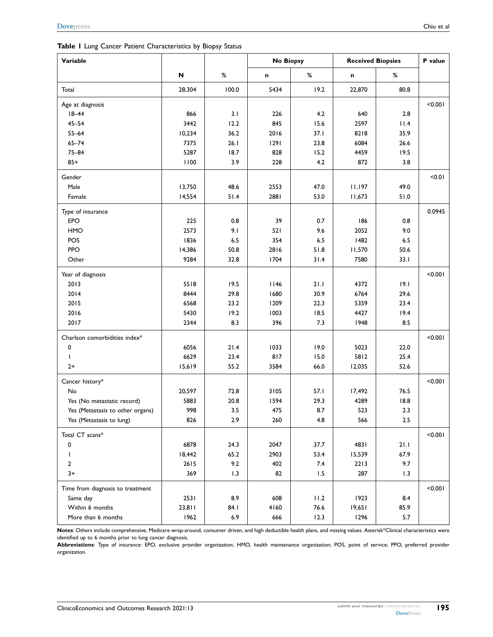#### <span id="page-6-0"></span>**Table 1** Lung Cancer Patient Characteristics by Biopsy Status

| Variable                         |                           |       | <b>No Biopsy</b> |         | <b>Received Biopsies</b> |         | P value |
|----------------------------------|---------------------------|-------|------------------|---------|--------------------------|---------|---------|
|                                  | $\boldsymbol{\mathsf{N}}$ | %     | n                | %       | n                        | %       |         |
| Total                            | 28,304                    | 100.0 | 5434             | 19.2    | 22,870                   | 80.8    |         |
| Age at diagnosis                 |                           |       |                  |         |                          |         | < 0.001 |
| $18 - 44$                        | 866                       | 3.1   | 226              | 4.2     | 640                      | 2.8     |         |
| $45 - 54$                        | 3442                      | 12.2  | 845              | 15.6    | 2597                     | 11.4    |         |
| $55 - 64$                        | 10,234                    | 36.2  | 2016             | 37.1    | 8218                     | 35.9    |         |
| $65 - 74$                        | 7375                      | 26.1  | 1291             | 23.8    | 6084                     | 26.6    |         |
| $75 - 84$                        | 5287                      | 18.7  | 828              | 15.2    | 4459                     | 19.5    |         |
| $85+$                            | 1100                      | 3.9   | 228              | 4.2     | 872                      | 3.8     |         |
| Gender                           |                           |       |                  |         |                          |         | 10.01   |
| Male                             | 13,750                    | 48.6  | 2553             | 47.0    | 11,197                   | 49.0    |         |
| Female                           | 14,554                    | 51.4  | 2881             | 53.0    | 11,673                   | $51.0$  |         |
| Type of insurance                |                           |       |                  |         |                          |         | 0.0945  |
| EPO                              | 225                       | 0.8   | 39               | 0.7     | 186                      | 0.8     |         |
| HMO                              | 2573                      | 9.1   | 521              | 9.6     | 2052                     | 9.0     |         |
| POS                              | 1836                      | 6.5   | 354              | $6.5\,$ | 1482                     | $6.5\,$ |         |
| PPO                              | 14,386                    | 50.8  | 2816             | 51.8    | 11,570                   | 50.6    |         |
| Other                            | 9284                      | 32.8  | 1704             | 31.4    | 7580                     | 33.1    |         |
| Year of diagnosis                |                           |       |                  |         |                          |         | < 0.001 |
| 2013                             | 5518                      | 19.5  | 1146             | 21.1    | 4372                     | 19.1    |         |
| 2014                             | 8444                      | 29.8  | 1680             | 30.9    | 6764                     | 29.6    |         |
| 2015                             | 6568                      | 23.2  | 1209             | 22.3    | 5359                     | 23.4    |         |
| 2016                             | 5430                      | 19.2  | 1003             | 18.5    | 4427                     | 19.4    |         |
| 2017                             | 2344                      | 8.3   | 396              | 7.3     | 1948                     | 8.5     |         |
| Charlson comorbidities index*    |                           |       |                  |         |                          |         | < 0.001 |
| 0                                | 6056                      | 21.4  | 1033             | 19.0    | 5023                     | 22.0    |         |
| T                                | 6629                      | 23.4  | 817              | 15.0    | 5812                     | 25.4    |         |
| $2+$                             | 15,619                    | 55.2  | 3584             | 66.0    | 12,035                   | 52.6    |         |
| Cancer history*                  |                           |       |                  |         |                          |         | < 0.001 |
| No                               | 20,597                    | 72.8  | 3105             | 57.1    | 17,492                   | 76.5    |         |
| Yes (No metastatic record)       | 5883                      | 20.8  | 1594             | 29.3    | 4289                     | 18.8    |         |
| Yes (Metastasis to other organs) | 998                       | 3.5   | 475              | 8.7     | 523                      | 2.3     |         |
| Yes (Metastasis to lung)         | 826                       | 2.9   | 260              | 4.8     | 566                      | 2.5     |         |
| Total CT scans*                  |                           |       |                  |         |                          |         | < 0.001 |
| 0                                | 6878                      | 24.3  | 2047             | 37.7    | 4831                     | 21.1    |         |
| T                                | 18,442                    | 65.2  | 2903             | 53.4    | 15,539                   | 67.9    |         |
| $\mathbf{2}$                     | 2615                      | 9.2   | 402              | 7.4     | 2213                     | 9.7     |         |
| $3+$                             | 369                       | 1.3   | 82               | 1.5     | 287                      | 1.3     |         |
| Time from diagnosis to treatment |                           |       |                  |         |                          |         | < 0.001 |
| Same day                         | 2531                      | 8.9   | 608              | 11.2    | 1923                     | 8.4     |         |
| Within 6 months                  | 23,811                    | 84.I  | 4160             | 76.6    | 19,651                   | 85.9    |         |
| More than 6 months               | 1962                      | 6.9   | 666              | 12.3    | 1296                     | 5.7     |         |

**Notes**: Others include comprehensive, Medicare wrap-around, consumer driven, and high deductible health plans, and missing values. Asterisk\*Clinical characteristics were identified up to 6 months prior to lung cancer diagnosis.

**Abbreviations**: Type of insurance: EPO, exclusive provider organization; HMO, health maintenance organization; POS, point of service; PPO, preferred provider organization.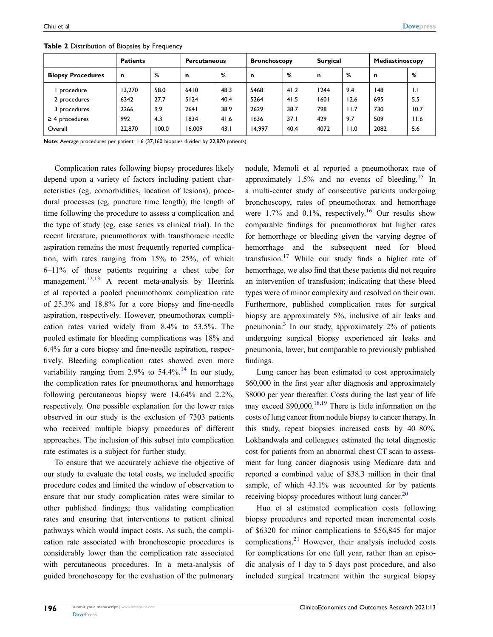|                          | <b>Patients</b><br><b>Percutaneous</b> |       |        | <b>Bronchoscopy</b> |             | <b>Surgical</b> |      | Mediastinoscopy |      |              |
|--------------------------|----------------------------------------|-------|--------|---------------------|-------------|-----------------|------|-----------------|------|--------------|
| <b>Biopsy Procedures</b> | n                                      | %     | n      | %                   | $\mathbf n$ | %               | n    | %               | n    | %            |
| procedure                | 13.270                                 | 58.0  | 6410   | 48.3                | 5468        | 41.2            | 244  | 9.4             | 148  | $\mathsf{L}$ |
| 2 procedures             | 6342                                   | 27.7  | 5124   | 40.4                | 5264        | 41.5            | 1601 | 12.6            | 695  | 5.5          |
| 3 procedures             | 2266                                   | 9.9   | 2641   | 38.9                | 2629        | 38.7            | 798  | 11.7            | 730  | 10.7         |
| $\geq$ 4 procedures      | 992                                    | 4.3   | 1834   | 41.6                | 1636        | 37.1            | 429  | 9.7             | 509  | 11.6         |
| Overall                  | 22,870                                 | 100.0 | 16.009 | 43.1                | 14.997      | 40.4            | 4072 | 11.0            | 2082 | 5.6          |

<span id="page-7-0"></span>**Table 2** Distribution of Biopsies by Frequency

**Note**: Average procedures per patient: 1.6 (37,160 biopsies divided by 22,870 patients).

<span id="page-7-1"></span>Complication rates following biopsy procedures likely depend upon a variety of factors including patient characteristics (eg, comorbidities, location of lesions), procedural processes (eg, puncture time length), the length of time following the procedure to assess a complication and the type of study (eg, case series vs clinical trial). In the recent literature, pneumothorax with transthoracic needle aspiration remains the most frequently reported complication, with rates ranging from 15% to 25%, of which 6–11% of those patients requiring a chest tube for management.<sup>[12](#page-10-11),[13](#page-10-12)</sup> A recent meta-analysis by Heerink et al reported a pooled pneumothorax complication rate of 25.3% and 18.8% for a core biopsy and fine-needle aspiration, respectively. However, pneumothorax complication rates varied widely from 8.4% to 53.5%. The pooled estimate for bleeding complications was 18% and 6.4% for a core biopsy and fine-needle aspiration, respectively. Bleeding complication rates showed even more variability ranging from  $2.9\%$  to  $54.4\%$ .<sup>[14](#page-10-13)</sup> In our study, the complication rates for pneumothorax and hemorrhage following percutaneous biopsy were 14.64% and 2.2%, respectively. One possible explanation for the lower rates observed in our study is the exclusion of 7303 patients who received multiple biopsy procedures of different approaches. The inclusion of this subset into complication rate estimates is a subject for further study.

<span id="page-7-2"></span>To ensure that we accurately achieve the objective of our study to evaluate the total costs, we included specific procedure codes and limited the window of observation to ensure that our study complication rates were similar to other published findings; thus validating complication rates and ensuring that interventions to patient clinical pathways which would impact costs. As such, the complication rate associated with bronchoscopic procedures is considerably lower than the complication rate associated with percutaneous procedures. In a meta-analysis of guided bronchoscopy for the evaluation of the pulmonary <span id="page-7-5"></span><span id="page-7-4"></span><span id="page-7-3"></span>nodule, Memoli et al reported a pneumothorax rate of approximately  $1.5\%$  and no events of bleeding.<sup>[15](#page-10-14)</sup> In a multi-center study of consecutive patients undergoing bronchoscopy, rates of pneumothorax and hemorrhage were 1.7% and 0.1%, respectively.<sup>[16](#page-10-15)</sup> Our results show comparable findings for pneumothorax but higher rates for hemorrhage or bleeding given the varying degree of hemorrhage and the subsequent need for blood transfusion.<sup>[17](#page-10-16)</sup> While our study finds a higher rate of hemorrhage, we also find that these patients did not require an intervention of transfusion; indicating that these bleed types were of minor complexity and resolved on their own. Furthermore, published complication rates for surgical biopsy are approximately 5%, inclusive of air leaks and pneumonia. $3$  In our study, approximately 2% of patients undergoing surgical biopsy experienced air leaks and pneumonia, lower, but comparable to previously published findings.

<span id="page-7-6"></span>Lung cancer has been estimated to cost approximately \$60,000 in the first year after diagnosis and approximately \$8000 per year thereafter. Costs during the last year of life may exceed \$90,000.[18](#page-11-0),[19](#page-11-1) There is little information on the costs of lung cancer from nodule biopsy to cancer therapy. In this study, repeat biopsies increased costs by 40–80%. Lokhandwala and colleagues estimated the total diagnostic cost for patients from an abnormal chest CT scan to assessment for lung cancer diagnosis using Medicare data and reported a combined value of \$38.3 million in their final sample, of which 43.1% was accounted for by patients receiving biopsy procedures without lung cancer.<sup>[20](#page-11-2)</sup>

<span id="page-7-8"></span><span id="page-7-7"></span>Huo et al estimated complication costs following biopsy procedures and reported mean incremental costs of \$6320 for minor complications to \$56,845 for major complications.[21](#page-11-3) However, their analysis included costs for complications for one full year, rather than an episodic analysis of 1 day to 5 days post procedure, and also included surgical treatment within the surgical biopsy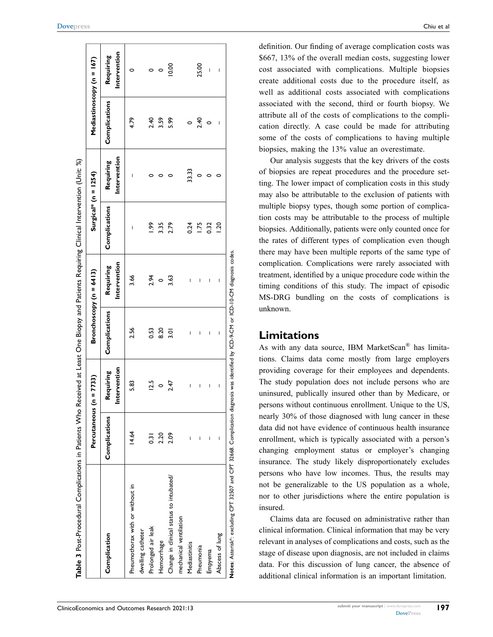<span id="page-8-0"></span>

|                                         | Percutaneous ( $n = 7733$ ) |                          | Bronchoscopy (n = 6413) |                           |                 | Surgical* (n = $1254$ )   |               | Mediastinoscopy (n = 167) |
|-----------------------------------------|-----------------------------|--------------------------|-------------------------|---------------------------|-----------------|---------------------------|---------------|---------------------------|
| Complication                            | Complications               | ntervention<br>Requiring | Complications           | Intervention<br>Requiring | Complications   | Intervention<br>Requiring | Complications | Intervention<br>Requiring |
| Pneumothorax with or without in         | 14.64                       | 5.83                     | 2.56                    | 3.66                      | I               | I                         | 4.79          |                           |
| dwelling catheter                       |                             |                          |                         |                           |                 |                           |               |                           |
| Prolonged air leak                      | ៑                           | 12.5                     | 0.53                    | 2.94                      | <u>ვ</u>        |                           | 2.40          | $\circ$                   |
| Hemorrhage                              | 2.20                        | $\circ$                  | 8.20                    | $\circ$                   | 3.35            |                           | 3.59          |                           |
| Change in clinical status to intubated/ | 2.09                        | 247                      | $\overline{3.01}$       | 3.63                      | 2.79            |                           | 5.99          | 10.00                     |
| mechanical ventilation                  |                             |                          |                         |                           |                 |                           |               |                           |
| Mediastinitis                           | I                           | I                        | I                       | I                         | 0.24            | 33.33                     |               |                           |
| Pneumonia                               | I                           | I                        | I                       | I                         | $\frac{175}{2}$ |                           | 2.40          | 25.00                     |
| Empyema                                 | ı                           | I                        | I                       | I                         | 0.32            |                           |               | I                         |
| Abscess of lung                         | I                           | I                        | I                       | I                         | $\overline{06}$ |                           | I             | I                         |

definition. Our finding of average complication costs was \$667, 13% of the overall median costs, suggesting lower cost associated with complications. Multiple biopsies create additional costs due to the procedure itself, as well as additional costs associated with complications associated with the second, third or fourth biopsy. We attribute all of the costs of complications to the complication directly. A case could be made for attributing some of the costs of complications to having multiple biopsies, making the 13% value an overestimate.

Our analysis suggests that the key drivers of the costs of biopsies are repeat procedures and the procedure setting. The lower impact of complication costs in this study may also be attributable to the exclusion of patients with multiple biopsy types, though some portion of complication costs may be attributable to the process of multiple biopsies. Additionally, patients were only counted once for the rates of different types of complication even though there may have been multiple reports of the same type of complication. Complications were rarely associated with treatment, identified by a unique procedure code within the timing conditions of this study. The impact of episodic MS-DRG bundling on the costs of complications is unknown.

#### **Limitations**

As with any data source, IBM MarketScan<sup>®</sup> has limitations. Claims data come mostly from large employers providing coverage for their employees and dependents. The study population does not include persons who are uninsured, publically insured other than by Medicare, or persons without continuous enrollment. Unique to the US, nearly 30% of those diagnosed with lung cancer in these data did not have evidence of continuous health insurance enrollment, which is typically associated with a person's changing employment status or employer's changing insurance. The study likely disproportionately excludes persons who have low incomes. Thus, the results may not be generalizable to the US population as a whole, nor to other jurisdictions where the entire population is insured.

Claims data are focused on administrative rather than clinical information. Clinical information that may be very relevant in analyses of complications and costs, such as the stage of disease upon diagnosis, are not included in claims data. For this discussion of lung cancer, the absence of additional clinical information is an important limitation.

**197**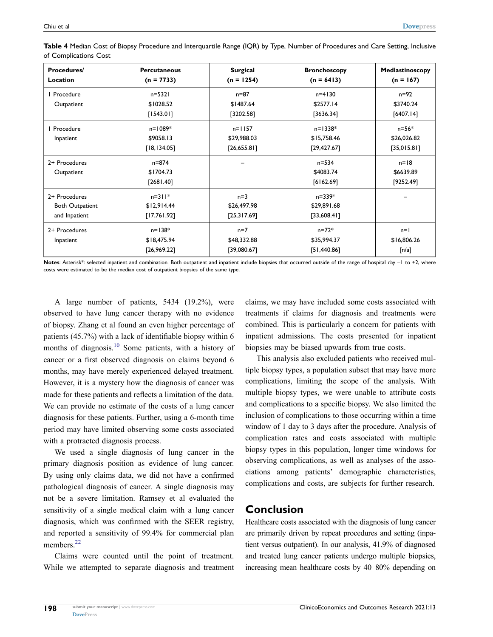| Procedures/<br><b>Location</b>                           | <b>Percutaneous</b><br>$(n = 7733)$      | <b>Surgical</b><br>$(n = 1254)$         | <b>Bronchoscopy</b><br>$(n = 6413)$        | Mediastinoscopy<br>$(n = 167)$              |
|----------------------------------------------------------|------------------------------------------|-----------------------------------------|--------------------------------------------|---------------------------------------------|
| I Procedure<br>Outpatient                                | $n = 5321$<br>\$1028.52<br>[1543.01]     | $n = 87$<br>\$1487.64<br>[3202.58]      | $n = 4130$<br>\$2577.14<br>[3636.34]       | $n = 92$<br>\$3740.24<br>[6407.14]          |
| I Procedure<br>Inpatient                                 | $n = 1089*$<br>\$9058.13<br>[18, 134.05] | $n = 1157$<br>\$29,988.03<br>[26,655.8] | $n = 1338*$<br>\$15,758.46<br>[29, 427.67] | n=56*<br>\$26,026.82<br>[35,015.81]         |
| 2+ Procedures<br>Outpatient                              | $n = 874$<br>\$1704.73<br>[2681.40]      |                                         | $n = 534$<br>\$4083.74<br>[6162.69]        | $n=18$<br>\$6639.89<br>[9252.49]            |
| 2+ Procedures<br><b>Both Outpatient</b><br>and Inpatient | $n = 311*$<br>\$12,914.44<br>[17,761.92] | $n=3$<br>\$26,497.98<br>[25,317.69]     | n=339*<br>\$29,891.68<br>[33,608.4]        |                                             |
| 2+ Procedures<br>Inpatient                               | $n = 138*$<br>\$18,475.94<br>[26,969.22] | $n=7$<br>\$48,332.88<br>[39,080.67]     | $n = 72*$<br>\$35,994.37<br>[51,440.86]    | $n=1$<br>\$16,806.26<br>$\lceil n/a \rceil$ |

<span id="page-9-0"></span>**Table 4** Median Cost of Biopsy Procedure and Interquartile Range (IQR) by Type, Number of Procedures and Care Setting, Inclusive of Complications Cost

Notes: Asterisk\*: selected inpatient and combination. Both outpatient and inpatient include biopsies that occurred outside of the range of hospital day -1 to +2, where costs were estimated to be the median cost of outpatient biopsies of the same type.

A large number of patients, 5434 (19.2%), were observed to have lung cancer therapy with no evidence of biopsy. Zhang et al found an even higher percentage of patients (45.7%) with a lack of identifiable biopsy within 6 months of diagnosis.<sup>10</sup> Some patients, with a history of cancer or a first observed diagnosis on claims beyond 6 months, may have merely experienced delayed treatment. However, it is a mystery how the diagnosis of cancer was made for these patients and reflects a limitation of the data. We can provide no estimate of the costs of a lung cancer diagnosis for these patients. Further, using a 6-month time period may have limited observing some costs associated with a protracted diagnosis process.

We used a single diagnosis of lung cancer in the primary diagnosis position as evidence of lung cancer. By using only claims data, we did not have a confirmed pathological diagnosis of cancer. A single diagnosis may not be a severe limitation. Ramsey et al evaluated the sensitivity of a single medical claim with a lung cancer diagnosis, which was confirmed with the SEER registry, and reported a sensitivity of 99.4% for commercial plan members.<sup>22</sup>

<span id="page-9-1"></span>Claims were counted until the point of treatment. While we attempted to separate diagnosis and treatment claims, we may have included some costs associated with treatments if claims for diagnosis and treatments were combined. This is particularly a concern for patients with inpatient admissions. The costs presented for inpatient biopsies may be biased upwards from true costs.

This analysis also excluded patients who received multiple biopsy types, a population subset that may have more complications, limiting the scope of the analysis. With multiple biopsy types, we were unable to attribute costs and complications to a specific biopsy. We also limited the inclusion of complications to those occurring within a time window of 1 day to 3 days after the procedure. Analysis of complication rates and costs associated with multiple biopsy types in this population, longer time windows for observing complications, as well as analyses of the associations among patients' demographic characteristics, complications and costs, are subjects for further research.

## **Conclusion**

Healthcare costs associated with the diagnosis of lung cancer are primarily driven by repeat procedures and setting (inpatient versus outpatient). In our analysis, 41.9% of diagnosed and treated lung cancer patients undergo multiple biopsies, increasing mean healthcare costs by 40–80% depending on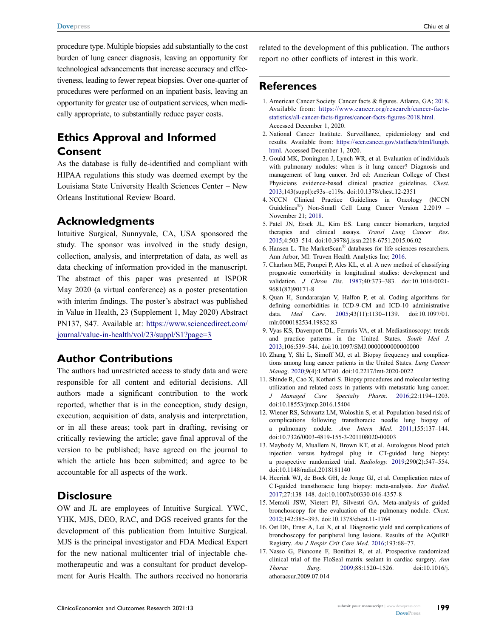procedure type. Multiple biopsies add substantially to the cost burden of lung cancer diagnosis, leaving an opportunity for technological advancements that increase accuracy and effectiveness, leading to fewer repeat biopsies. Over one-quarter of procedures were performed on an inpatient basis, leaving an opportunity for greater use of outpatient services, when medically appropriate, to substantially reduce payer costs.

## **Ethics Approval and Informed Consent**

As the database is fully de-identified and compliant with HIPAA regulations this study was deemed exempt by the Louisiana State University Health Sciences Center – New Orleans Institutional Review Board.

## **Acknowledgments**

Intuitive Surgical, Sunnyvale, CA, USA sponsored the study. The sponsor was involved in the study design, collection, analysis, and interpretation of data, as well as data checking of information provided in the manuscript. The abstract of this paper was presented at ISPOR May 2020 (a virtual conference) as a poster presentation with interim findings. The poster's abstract was published in Value in Health, 23 (Supplement 1, May 2020) Abstract PN137, S47. Available at: [https://www.sciencedirect.com/](https://www.sciencedirect.com/journal/value-in-health/vol/23/suppl/S1?page=3)  [journal/value-in-health/vol/23/suppl/S1?page=3](https://www.sciencedirect.com/journal/value-in-health/vol/23/suppl/S1?page=3)

## **Author Contributions**

The authors had unrestricted access to study data and were responsible for all content and editorial decisions. All authors made a significant contribution to the work reported, whether that is in the conception, study design, execution, acquisition of data, analysis and interpretation, or in all these areas; took part in drafting, revising or critically reviewing the article; gave final approval of the version to be published; have agreed on the journal to which the article has been submitted; and agree to be accountable for all aspects of the work.

#### **Disclosure**

OW and JL are employees of Intuitive Surgical. YWC, YHK, MJS, DEO, RAC, and DGS received grants for the development of this publication from Intuitive Surgical. MJS is the principal investigator and FDA Medical Expert for the new national multicenter trial of injectable chemotherapeutic and was a consultant for product development for Auris Health. The authors received no honoraria related to the development of this publication. The authors report no other conflicts of interest in this work.

## **References**

- <span id="page-10-0"></span>1. American Cancer Society. Cancer facts & figures. Atlanta, GA; [2018](#page-2-4). Available from: [https://www.cancer.org/research/cancer-facts](https://www.cancer.org/research/cancer-facts-statistics/all-cancer-facts-figures/cancer-facts-figures-2018.html)[statistics/all-cancer-facts-figures/cancer-facts-figures-2018.html](https://www.cancer.org/research/cancer-facts-statistics/all-cancer-facts-figures/cancer-facts-figures-2018.html). Accessed December 1, 2020.
- <span id="page-10-1"></span>2. National Cancer Institute. Surveillance, epidemiology and end results. Available from: [https://seer.cancer.gov/statfacts/html/lungb.](https://seer.cancer.gov/statfacts/html/lungb.html) [html](https://seer.cancer.gov/statfacts/html/lungb.html). Accessed December 1, 2020.
- <span id="page-10-2"></span>3. Gould MK, Donington J, Lynch WR, et al. Evaluation of individuals with pulmonary nodules: when is it lung cancer? Diagnosis and management of lung cancer. 3rd ed: American College of Chest Physicians evidence-based clinical practice guidelines. *Chest*. [2013](#page-3-0);143(suppl):e93s–e119s. doi:[10.1378/chest.12-2351](https://doi.org/10.1378/chest.12-2351)
- <span id="page-10-3"></span>4. NCCN Clinical Practice Guidelines in Oncology (NCCN Guidelines<sup>®</sup>) Non-Small Cell Lung Cancer Version 2.2019 – November 21; [2018.](#page-3-0)
- <span id="page-10-4"></span>5. Patel JN, Ersek JL, Kim ES. Lung cancer biomarkers, targeted therapies and clinical assays. *Transl Lung Cancer Res*. [2015](#page-3-1);4:503–514. doi:[10.3978/j.issn.2218-6751.2015.06.02](https://doi.org/10.3978/j.issn.2218-6751.2015.06.02)
- <span id="page-10-5"></span>6. Hansen L. The MarketScan® databases for life sciences researchers. Ann Arbor, MI: Truven Health Analytics Inc; [2016.](#page-3-2)
- <span id="page-10-6"></span>7. Charlson ME, Pompei P, Ales KL, et al. A new method of classifying prognostic comorbidity in longitudinal studies: development and validation. *J Chron Dis*. [1987;](#page-3-3)40:373–383. doi:[10.1016/0021-](https://doi.org/10.1016/0021-9681(87)90171-8) [9681\(87\)90171-8](https://doi.org/10.1016/0021-9681(87)90171-8)
- <span id="page-10-7"></span>8. Quan H, Sundararajan V, Halfon P, et al. Coding algorithms for defining comorbidities in ICD-9-CM and ICD-10 administrative data. *Med Care*. [2005;](#page-3-3)43(11):1130–1139. doi:[10.1097/01.](https://doi.org/10.1097/01.mlr.0000182534.19832.83) [mlr.0000182534.19832.83](https://doi.org/10.1097/01.mlr.0000182534.19832.83)
- <span id="page-10-8"></span>9. Vyas KS, Davenport DL, Ferraris VA, et al. Mediastinoscopy: trends and practice patterns in the United States. *South Med J*. [2013](#page-5-0);106:539–544. doi:[10.1097/SMJ.0000000000000000](https://doi.org/10.1097/SMJ.0000000000000000)
- <span id="page-10-9"></span>10. Zhang Y, Shi L, Simoff MJ, et al. Biopsy frequency and complications among lung cancer patients in the United States. *Lung Cancer Manag*. [2020;](#page-5-1)9(4):LMT40. doi:[10.2217/lmt-2020-0022](https://doi.org/10.2217/lmt-2020-0022)
- <span id="page-10-10"></span>11. Shinde R, Cao X, Kothari S. Biopsy procedures and molecular testing utilization and related costs in patients with metastatic lung cancer. *J Managed Care Specialty Pharm*. [2016](#page-5-2);22:1194–1203. doi:[10.18553/jmcp.2016.15404](https://doi.org/10.18553/jmcp.2016.15404)
- <span id="page-10-11"></span>12. Wiener RS, Schwartz LM, Woloshin S, et al. Population-based risk of complications following transthoracic needle lung biopsy of a pulmonary nodule. *Ann Intern Med*. [2011;](#page-7-1)155:137–144. doi:[10.7326/0003-4819-155-3-201108020-00003](https://doi.org/10.7326/0003-4819-155-3-201108020-00003)
- <span id="page-10-12"></span>13. Maybody M, Muallem N, Brown KT, et al. Autologous blood patch injection versus hydrogel plug in CT-guided lung biopsy: a prospective randomized trial. *Radiology*. [2019;](#page-7-1)290(2):547–554. doi:[10.1148/radiol.2018181140](https://doi.org/10.1148/radiol.2018181140)
- <span id="page-10-13"></span>14. Heerink WJ, de Bock GH, de Jonge GJ, et al. Complication rates of CT-guided transthoracic lung biopsy: meta-analysis. *Eur Radiol*. [2017](#page-7-2);27:138–148. doi:[10.1007/s00330-016-4357-8](https://doi.org/10.1007/s00330-016-4357-8)
- <span id="page-10-14"></span>15. Memoli JSW, Nietert PJ, Silvestri GA. Meta-analysis of guided bronchoscopy for the evaluation of the pulmonary nodule. *Chest*. [2012](#page-7-3);142:385–393. doi:[10.1378/chest.11-1764](https://doi.org/10.1378/chest.11-1764)
- <span id="page-10-15"></span>16. Ost DE, Ernst A, Lei X, et al. Diagnostic yield and complications of bronchoscopy for peripheral lung lesions. Results of the AQuIRE Registry. *Am J Respir Crit Care Med*. [2016](#page-7-4);193:68–77.
- <span id="page-10-16"></span>17. Nasso G, Piancone F, Bonifazi R, et al. Prospective randomized clinical trial of the FloSeal matrix sealant in cardiac surgery. *Ann Thorac Surg*. [2009;](#page-7-5)88:1520–1526. doi:[10.1016/j.](https://doi.org/10.1016/j.athoracsur.2009.07.014) [athoracsur.2009.07.014](https://doi.org/10.1016/j.athoracsur.2009.07.014)